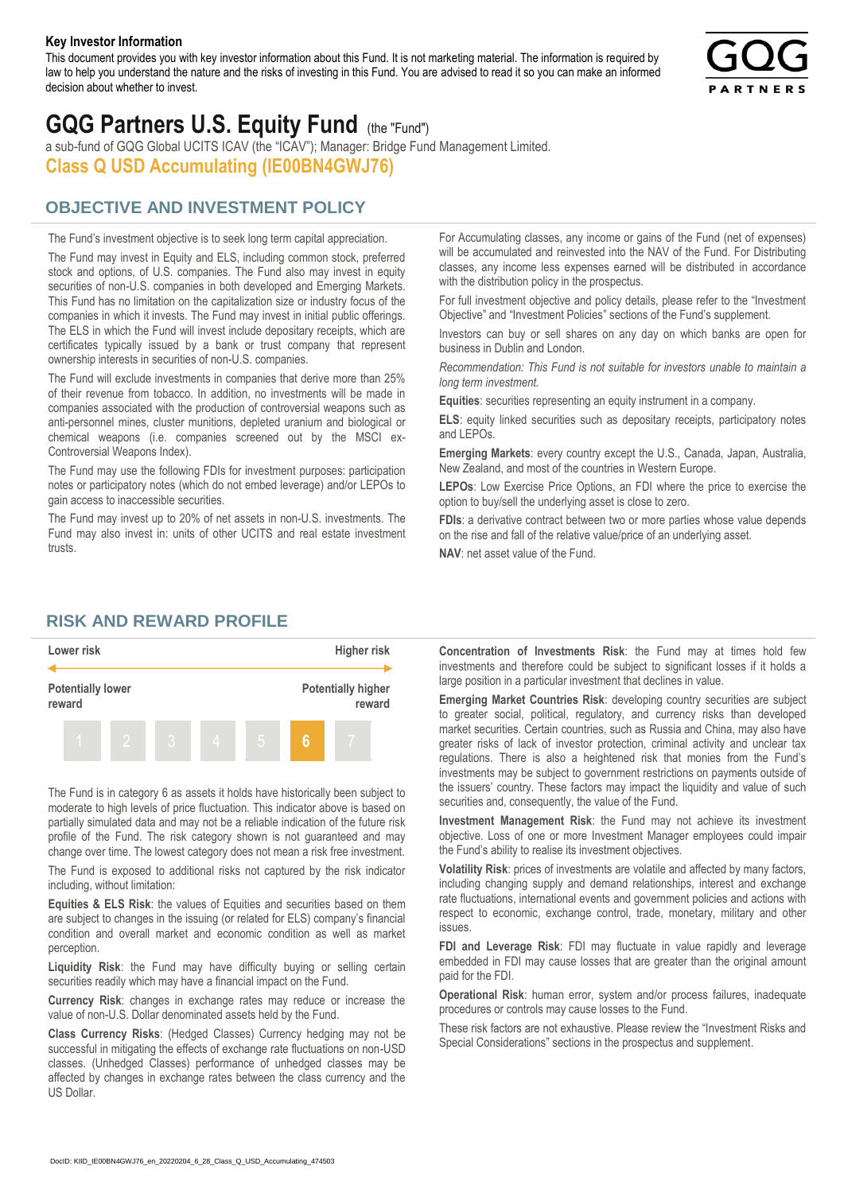#### **Key Investor Information**

This document provides you with key investor information about this Fund. It is not marketing material. The information is required by law to help you understand the nature and the risks of investing in this Fund. You are advised to read it so you can make an informed decision about whether to invest.



# **GQG Partners U.S. Equity Fund** (the "Fund")

a sub-fund of GQG Global UCITS ICAV (the "ICAV"); Manager: Bridge Fund Management Limited. **Class Q USD Accumulating (IE00BN4GWJ76)**

### **OBJECTIVE AND INVESTMENT POLICY**

The Fund's investment objective is to seek long term capital appreciation. The Fund may invest in Equity and ELS, including common stock, preferred stock and options, of U.S. companies. The Fund also may invest in equity securities of non-U.S. companies in both developed and Emerging Markets. This Fund has no limitation on the capitalization size or industry focus of the companies in which it invests. The Fund may invest in initial public offerings. The ELS in which the Fund will invest include depositary receipts, which are certificates typically issued by a bank or trust company that represent ownership interests in securities of non-U.S. companies.

The Fund will exclude investments in companies that derive more than 25% of their revenue from tobacco. In addition, no investments will be made in companies associated with the production of controversial weapons such as anti-personnel mines, cluster munitions, depleted uranium and biological or chemical weapons (i.e. companies screened out by the MSCI ex-Controversial Weapons Index).

The Fund may use the following FDIs for investment purposes: participation notes or participatory notes (which do not embed leverage) and/or LEPOs to gain access to inaccessible securities.

The Fund may invest up to 20% of net assets in non-U.S. investments. The Fund may also invest in: units of other UCITS and real estate investment trusts.

For Accumulating classes, any income or gains of the Fund (net of expenses) will be accumulated and reinvested into the NAV of the Fund. For Distributing classes, any income less expenses earned will be distributed in accordance with the distribution policy in the prospectus.

For full investment objective and policy details, please refer to the "Investment Objective" and "Investment Policies" sections of the Fund's supplement.

Investors can buy or sell shares on any day on which banks are open for business in Dublin and London.

*Recommendation: This Fund is not suitable for investors unable to maintain a long term investment.*

**Equities**: securities representing an equity instrument in a company.

**ELS**: equity linked securities such as depositary receipts, participatory notes and LEPOs.

**Emerging Markets**: every country except the U.S., Canada, Japan, Australia, New Zealand, and most of the countries in Western Europe.

**LEPOs**: Low Exercise Price Options, an FDI where the price to exercise the option to buy/sell the underlying asset is close to zero.

**FDIs**: a derivative contract between two or more parties whose value depends on the rise and fall of the relative value/price of an underlying asset.

**NAV**: net asset value of the Fund.

#### **RISK AND REWARD PROFILE**



The Fund is in category 6 as assets it holds have historically been subject to moderate to high levels of price fluctuation. This indicator above is based on partially simulated data and may not be a reliable indication of the future risk profile of the Fund. The risk category shown is not guaranteed and may change over time. The lowest category does not mean a risk free investment.

The Fund is exposed to additional risks not captured by the risk indicator including, without limitation:

**Equities & ELS Risk**: the values of Equities and securities based on them are subject to changes in the issuing (or related for ELS) company's financial condition and overall market and economic condition as well as market perception.

**Liquidity Risk**: the Fund may have difficulty buying or selling certain securities readily which may have a financial impact on the Fund.

**Currency Risk**: changes in exchange rates may reduce or increase the value of non-U.S. Dollar denominated assets held by the Fund.

**Class Currency Risks**: (Hedged Classes) Currency hedging may not be successful in mitigating the effects of exchange rate fluctuations on non-USD classes. (Unhedged Classes) performance of unhedged classes may be affected by changes in exchange rates between the class currency and the US Dollar.

**Concentration of Investments Risk**: the Fund may at times hold few investments and therefore could be subject to significant losses if it holds a large position in a particular investment that declines in value.

**Emerging Market Countries Risk**: developing country securities are subject to greater social, political, regulatory, and currency risks than developed market securities. Certain countries, such as Russia and China, may also have greater risks of lack of investor protection, criminal activity and unclear tax regulations. There is also a heightened risk that monies from the Fund's investments may be subject to government restrictions on payments outside of the issuers' country. These factors may impact the liquidity and value of such securities and, consequently, the value of the Fund.

**Investment Management Risk**: the Fund may not achieve its investment objective. Loss of one or more Investment Manager employees could impair the Fund's ability to realise its investment objectives.

**Volatility Risk**: prices of investments are volatile and affected by many factors, including changing supply and demand relationships, interest and exchange rate fluctuations, international events and government policies and actions with respect to economic, exchange control, trade, monetary, military and other issues.

**FDI and Leverage Risk**: FDI may fluctuate in value rapidly and leverage embedded in FDI may cause losses that are greater than the original amount paid for the FDI.

**Operational Risk**: human error, system and/or process failures, inadequate procedures or controls may cause losses to the Fund.

These risk factors are not exhaustive. Please review the "Investment Risks and Special Considerations" sections in the prospectus and supplement.